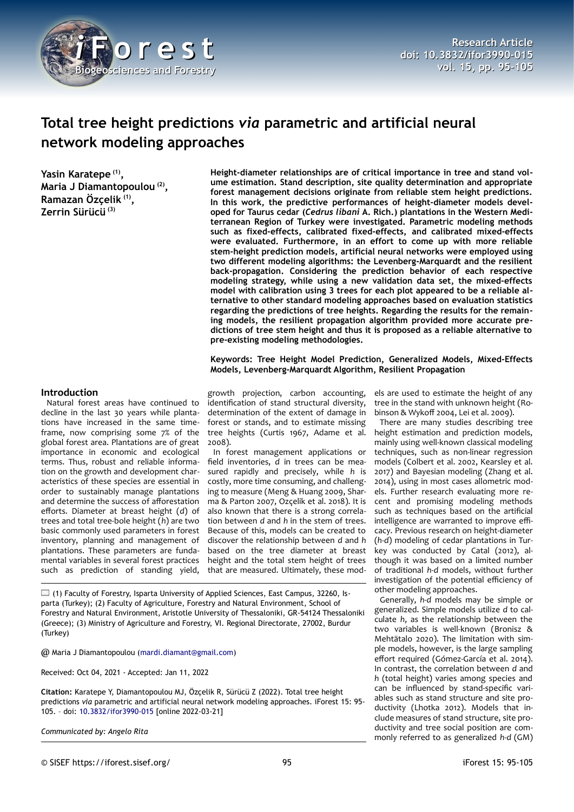

# **Total tree height predictions** *via* **parametric and artificial neural network modeling approaches**

**Yasin Karatepe (1) , Maria J Diamantopoulou (2) , Ramazan Özçelik (1) , Zerrin Sürücü (3)**

**Height-diameter relationships are of critical importance in tree and stand volume estimation. Stand description, site quality determination and appropriate forest management decisions originate from reliable stem height predictions. In this work, the predictive performances of height-diameter models developed for Taurus cedar (***Cedrus libani* **A. Rich.) plantations in the Western Mediterranean Region of Turkey were investigated. Parametric modeling methods such as fixed-effects, calibrated fixed-effects, and calibrated mixed-effects were evaluated. Furthermore, in an effort to come up with more reliable stem-height prediction models, artificial neural networks were employed using two different modeling algorithms: the Levenberg-Marquardt and the resilient back-propagation. Considering the prediction behavior of each respective modeling strategy, while using a new validation data set, the mixed-effects model with calibration using 3 trees for each plot appeared to be a reliable alternative to other standard modeling approaches based on evaluation statistics regarding the predictions of tree heights. Regarding the results for the remaining models, the resilient propagation algorithm provided more accurate predictions of tree stem height and thus it is proposed as a reliable alternative to pre-existing modeling methodologies.**

**Keywords: Tree Height Model Prediction, Generalized Models, Mixed-Effects Models, Levenberg-Marquardt Algorithm, Resilient Propagation**

## **Introduction**

Natural forest areas have continued to decline in the last 30 years while plantations have increased in the same timeframe, now comprising some 7% of the global forest area. Plantations are of great importance in economic and ecological terms. Thus, robust and reliable information on the growth and development characteristics of these species are essential in order to sustainably manage plantations and determine the success of afforestation efforts. Diameter at breast height (*d*) of trees and total tree-bole height (*h*) are two basic commonly used parameters in forest inventory, planning and management of plantations. These parameters are fundamental variables in several forest practices such as prediction of standing yield,

growth projection, carbon accounting, identification of stand structural diversity, determination of the extent of damage in forest or stands, and to estimate missing tree heights (Curtis 1967, Adame et al. 2008).

In forest management applications or field inventories, *d* in trees can be measured rapidly and precisely, while *h* is costly, more time consuming, and challenging to measure (Meng & Huang 2009, Sharma & Parton 2007, Ozçelik et al. 2018). It is also known that there is a strong correlation between *d* and *h* in the stem of trees. Because of this, models can be created to discover the relationship between *d* and *h* based on the tree diameter at breast height and the total stem height of trees that are measured. Ultimately, these mod-

 $\Box$  (1) Faculty of Forestry, Isparta University of Applied Sciences, East Campus, 32260, Isparta (Turkey); (2) Faculty of Agriculture, Forestry and Natural Environment, School of Forestry and Natural Environment, Aristotle University of Thessaloniki, GR-54124 Thessaloniki (Greece); (3) Ministry of Agriculture and Forestry, VI. Regional Directorate, 27002, Burdur (Turkey)

@ Maria J Diamantopoulou [\(mardi.diamant@gmail.com](mailto:mardi.diamant@gmail.com))

Received: Oct 04, 2021 - Accepted: Jan 11, 2022

**Citation:** Karatepe Y, Diamantopoulou MJ, Özçelik R, Sürücü Z (2022). Total tree height predictions *via* parametric and artificial neural network modeling approaches. iForest 15: 95- 105. – doi: [10.3832/ifor3990-015](http://www.sisef.it/iforest/contents/?id=ifor3990-015) [online 2022-03-21]

*Communicated by: Angelo Rita*

els are used to estimate the height of any tree in the stand with unknown height (Robinson & Wykoff 2004, Lei et al. 2009).

There are many studies describing tree height estimation and prediction models, mainly using well-known classical modeling techniques, such as non-linear regression models (Colbert et al. 2002, Kearsley et al. 2017) and Bayesian modeling (Zhang et al. 2014), using in most cases allometric models. Further research evaluating more recent and promising modeling methods such as techniques based on the artificial intelligence are warranted to improve efficacy. Previous research on height-diameter (*h-d*) modeling of cedar plantations in Turkey was conducted by Catal (2012), although it was based on a limited number of traditional *h-d* models, without further investigation of the potential efficiency of other modeling approaches.

Generally, *h-d* models may be simple or generalized. Simple models utilize *d* to calculate *h*, as the relationship between the two variables is well-known (Bronisz & Mehtätalo 2020). The limitation with simple models, however, is the large sampling effort required (Gómez-García et al. 2014). In contrast, the correlation between *d* and *h* (total height) varies among species and can be influenced by stand-specific variables such as stand structure and site productivity (Lhotka 2012). Models that include measures of stand structure, site productivity and tree social position are commonly referred to as generalized *h*-*d* (GM)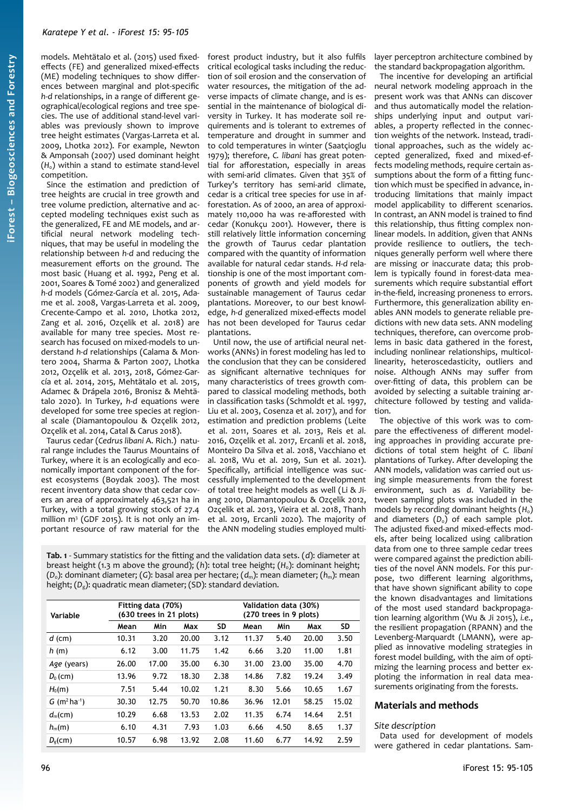models. Mehtätalo et al. (2015) used fixedeffects (FE) and generalized mixed-effects (ME) modeling techniques to show differences between marginal and plot-specific *h*-*d* relationships, in a range of different geographical/ecological regions and tree species. The use of additional stand-level variables was previously shown to improve tree height estimates (Vargas-Larreta et al. 2009, Lhotka 2012). For example, Newton & Amponsah (2007) used dominant height  $(H<sub>0</sub>)$  within a stand to estimate stand-level competition.

Since the estimation and prediction of tree heights are crucial in tree growth and tree volume prediction, alternative and accepted modeling techniques exist such as the generalized, FE and ME models, and artificial neural network modeling techniques, that may be useful in modeling the relationship between *h-d* and reducing the measurement efforts on the ground. The most basic (Huang et al. 1992, Peng et al. 2001, Soares & Tomé 2002) and generalized *h-d* models (Gómez-García et al. 2015, Adame et al. 2008, Vargas-Larreta et al. 2009, Crecente-Campo et al. 2010, Lhotka 2012, Zang et al. 2016, Ozçelik et al. 2018) are available for many tree species. Most research has focused on mixed-models to understand *h-d* relationships (Calama & Montero 2004, Sharma & Parton 2007, Lhotka 2012, Ozçelik et al. 2013, 2018, Gómez-García et al. 2014, 2015, Mehtätalo et al. 2015, Adamec & Drápela 2016, Bronisz & Mehtätalo 2020). In Turkey, *h*-*d* equations were developed for some tree species at regional scale (Diamantopoulou & Ozçelik 2012, Ozçelik et al. 2014, Catal & Carus 2018).

Taurus cedar (*Cedrus libani* A. Rich.) natural range includes the Taurus Mountains of Turkey, where it is an ecologically and economically important component of the forest ecosystems (Boydak 2003). The most recent inventory data show that cedar covers an area of approximately 463,521 ha in Turkey, with a total growing stock of 27.4 million m<sup>3</sup> (GDF 2015). It is not only an important resource of raw material for the forest product industry, but it also fulfils critical ecological tasks including the reduction of soil erosion and the conservation of water resources, the mitigation of the adverse impacts of climate change, and is essential in the maintenance of biological diversity in Turkey. It has moderate soil requirements and is tolerant to extremes of temperature and drought in summer and to cold temperatures in winter (Saatçioglu 1979); therefore, *C. libani* has great potential for afforestation, especially in areas with semi-arid climates. Given that 35% of Turkey's territory has semi-arid climate, cedar is a critical tree species for use in afforestation. As of 2000, an area of approximately 110,000 ha was re-afforested with cedar (Konukçu 2001). However, there is still relatively little information concerning the growth of Taurus cedar plantation compared with the quantity of information available for natural cedar stands. *H-d* relationship is one of the most important components of growth and yield models for sustainable management of Taurus cedar plantations. Moreover, to our best knowledge, *h-d* generalized mixed-effects model has not been developed for Taurus cedar plantations.

Until now, the use of artificial neural networks (ANNs) in forest modeling has led to the conclusion that they can be considered as significant alternative techniques for many characteristics of trees growth compared to classical modeling methods, both in classification tasks (Schmoldt et al. 1997, Liu et al. 2003, Cosenza et al. 2017), and for estimation and prediction problems (Leite et al. 2011, Soares et al. 2013, Reis et al. 2016, Ozçelik et al. 2017, Ercanli et al. 2018, Monteiro Da Silva et al. 2018, Vacchiano et al. 2018, Wu et al. 2019, Sun et al. 2021). Specifically, artificial intelligence was successfully implemented to the development of total tree height models as well (Li & Jiang 2010, Diamantopoulou & Ozçelik 2012, Ozçelik et al. 2013, Vieira et al. 2018, Thanh et al. 2019, Ercanli 2020). The majority of the ANN modeling studies employed multi-

<span id="page-1-0"></span>**Tab. 1** - Summary statistics for the fitting and the validation data sets. (*d*): diameter at breast height (1.3 m above the ground); (*h*): total tree height; (*H*0): dominant height; (*D*0): dominant diameter; (*G*): basal area per hectare; (*d*m): mean diameter; (*h*m): mean height; (D<sub>g</sub>): quadratic mean diameter; (SD): standard deviation.

| Variable                               | Fitting data (70%)<br>(630 trees in 21 plots) |       |       |       | Validation data (30%)<br>(270 trees in 9 plots) |       |       |           |
|----------------------------------------|-----------------------------------------------|-------|-------|-------|-------------------------------------------------|-------|-------|-----------|
|                                        | Mean                                          | Min   | Max   | SD    | Mean                                            | Min   | Max   | <b>SD</b> |
| $d$ (cm)                               | 10.31                                         | 3.20  | 20.00 | 3.12  | 11.37                                           | 5.40  | 20.00 | 3.50      |
| h(m)                                   | 6.12                                          | 3.00  | 11.75 | 1.42  | 6.66                                            | 3.20  | 11.00 | 1.81      |
| Age (years)                            | 26.00                                         | 17.00 | 35.00 | 6.30  | 31.00                                           | 23.00 | 35.00 | 4.70      |
| $D_0$ (cm)                             | 13.96                                         | 9.72  | 18.30 | 2.38  | 14.86                                           | 7.82  | 19.24 | 3.49      |
| $H_0(m)$                               | 7.51                                          | 5.44  | 10.02 | 1.21  | 8.30                                            | 5.66  | 10.65 | 1.67      |
| $G$ (m <sup>2</sup> ha <sup>-1</sup> ) | 30.30                                         | 12.75 | 50.70 | 10.86 | 36.96                                           | 12.01 | 58.25 | 15.02     |
| $d_{m}$ (cm)                           | 10.29                                         | 6.68  | 13.53 | 2.02  | 11.35                                           | 6.74  | 14.64 | 2.51      |
| $h_{m}(m)$                             | 6.10                                          | 4.31  | 7.93  | 1.03  | 6.66                                            | 4.50  | 8.65  | 1.37      |
| D <sub>s</sub> (cm)                    | 10.57                                         | 6.98  | 13.92 | 2.08  | 11.60                                           | 6.77  | 14.92 | 2.59      |

and diameters  $(D_0)$  of each sample plot. The adjusted fixed-and mixed-effects models, after being localized using calibration data from one to three sample cedar trees were compared against the prediction abilities of the novel ANN models. For this purpose, two different learning algorithms, that have shown significant ability to cope the known disadvantages and limitations of the most used standard backpropagation learning algorithm (Wu & Ji 2015), *i.e.*, the resilient propagation (RPANN) and the Levenberg-Marquardt (LMANN), were applied as innovative modeling strategies in forest model building, with the aim of optimizing the learning process and better exploting the information in real data measurements originating from the forests.

The objective of this work was to compare the effectiveness of different modeling approaches in providing accurate predictions of total stem height of *C. libani* plantations of Turkey. After developing the ANN models, validation was carried out using simple measurements from the forest environment, such as *d*. Variability between sampling plots was included in the models by recording dominant heights (H<sub>0</sub>)

layer perceptron architecture combined by the standard backpropagation algorithm. The incentive for developing an artificial neural network modeling approach in the present work was that ANNs can discover and thus automatically model the relationships underlying input and output variables, a property reflected in the connection weights of the network. Instead, traditional approaches, such as the widely accepted generalized, fixed and mixed-effects modeling methods, require certain assumptions about the form of a fitting function which must be specified in advance, introducing limitations that mainly impact model applicability to different scenarios. In contrast, an ANN model is trained to find this relationship, thus fitting complex nonlinear models. In addition, given that ANNs provide resilience to outliers, the techniques generally perform well where there are missing or inaccurate data; this problem is typically found in forest-data measurements which require substantial effort in-the-field, increasing proneness to errors. Furthermore, this generalization ability enables ANN models to generate reliable predictions with new data sets. ANN modeling techniques, therefore, can overcome problems in basic data gathered in the forest, including nonlinear relationships, multicollinearity, heteroscedasticity, outliers and noise. Although ANNs may suffer from over-fitting of data, this problem can be avoided by selecting a suitable training architecture followed by testing and valida-

## **Materials and methods**

## *Site description*

tion.

Data used for development of models were gathered in cedar plantations. Sam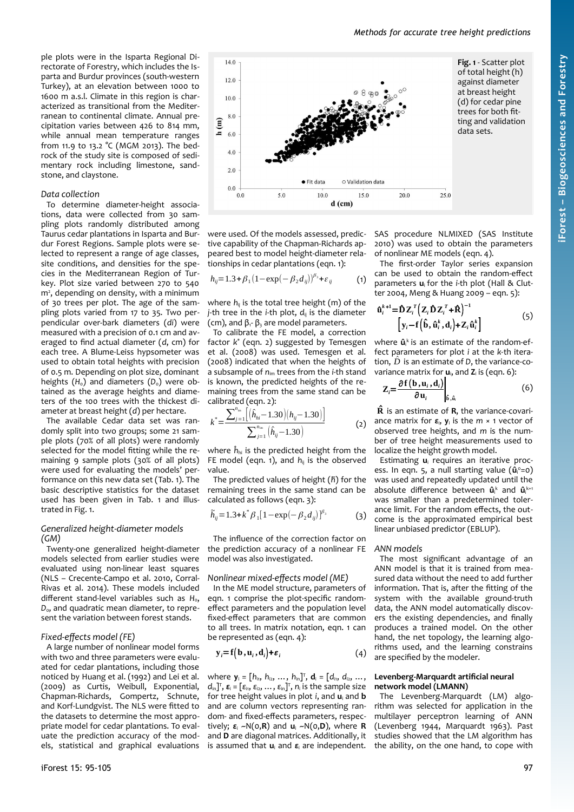ple plots were in the Isparta Regional Directorate of Forestry, which includes the Isparta and Burdur provinces (south-western Turkey), at an elevation between 1000 to 1600 m a.s.l. Climate in this region is characterized as transitional from the Mediterranean to continental climate. Annual precipitation varies between 426 to 814 mm, while annual mean temperature ranges from 11.9 to 13.2 °C (MGM 2013). The bedrock of the study site is composed of sedimentary rock including limestone, sandstone, and claystone.

#### *Data collection*

To determine diameter-height associations, data were collected from 30 sampling plots randomly distributed among Taurus cedar plantations in Isparta and Burdur Forest Regions. Sample plots were selected to represent a range of age classes, site conditions, and densities for the species in the Mediterranean Region of Turkey. Plot size varied between 270 to 540 m<sup>2</sup>, depending on density, with a minimum of 30 trees per plot. The age of the sampling plots varied from 17 to 35. Two perpendicular over-bark diameters (*di*) were measured with a precision of 0.1 cm and averaged to find actual diameter (*d*, cm) for each tree. A Blume-Leiss hypsometer was used to obtain total heights with precision of 0.5 m. Depending on plot size, dominant heights  $(H_0)$  and diameters  $(D_0)$  were obtained as the average heights and diameters of the 100 trees with the thickest diameter at breast height (*d*) per hectare.

The available Cedar data set was randomly split into two groups; some 21 sample plots (70% of all plots) were randomly selected for the model fitting while the remaining 9 sample plots (30% of all plots) were used for evaluating the models' performance on this new data set ([Tab. 1](#page-1-0)). The basic descriptive statistics for the dataset used has been given in [Tab. 1](#page-1-0) and illustrated in [Fig. 1.](#page-2-0)

#### *Generalized height-diameter models (GM)*

Twenty-one generalized height-diameter models selected from earlier studies were evaluated using non-linear least squares (NLS – Crecente-Campo et al. 2010, Corral-Rivas et al. 2014). These models included different stand-level variables such as H<sub>0</sub>, D<sub>0</sub>, and quadratic mean diameter, to represent the variation between forest stands.

## *Fixed-effects model (FE)*

A large number of nonlinear model forms with two and three parameters were evaluated for cedar plantations, including those noticed by Huang et al. (1992) and Lei et al. (2009) as Curtis, Weibull, Exponential, Chapman-Richards, Gompertz, Schnute, and Korf-Lundgvist. The NLS were fitted to the datasets to determine the most appropriate model for cedar plantations. To evaluate the prediction accuracy of the models, statistical and graphical evaluations



were used. Of the models assessed, predictive capability of the Chapman-Richards appeared best to model height-diameter relationships in cedar plantations (eqn. 1):

$$
h_{ij} = 1.3 + \beta_1 (1 - \exp(-\beta_2 d_{ij}))^{\beta_3} + \varepsilon_{ij}
$$
 (1)

where  $h_{ii}$  is the total tree height (m) of the *j*-th tree in the *i*-th plot,  $d_{ii}$  is the diameter (cm), and  $\beta_1$ -  $\beta_3$  are model parameters.

To calibrate the FE model, a correction factor *k* \* (eqn. 2) suggested by Temesgen et al. (2008) was used. Temesgen et al. (2008) indicated that when the heights of a subsample of *n*im trees from the *i*-th stand is known, the predicted heights of the remaining trees from the same stand can be calibrated (eqn. 2):

$$
k^* = \frac{\sum_{j=1}^{n_{\text{im}}} \left[ \left( \hat{h}_{hi} - 1.30 \right) \left( h_{ij} - 1.30 \right) \right]}{\sum_{j=1}^{n_{\text{im}}} \left( \hat{h}_{ij} - 1.30 \right)} \tag{2}
$$

where  $\hat{h}_{hi}$  is the predicted height from the FE model (eqn. 1), and  $h_{ij}$  is the observed value.

The predicted values of height (*h̃*) for the remaining trees in the same stand can be calculated as follows (eqn. 3):

$$
\widetilde{h}_{ij} = 1.3 + k^* \beta_1 [1 - \exp(-\beta_2 d_{ij})]^{\beta_3}
$$
 (3)

The influence of the correction factor on the prediction accuracy of a nonlinear FE model was also investigated.

## *Nonlinear mixed-effects model (ME)*

In the ME model structure, parameters of eqn. 1 comprise the plot-specific randomeffect parameters and the population level fixed-effect parameters that are common to all trees. In matrix notation, eqn. 1 can be represented as (eqn. 4):

$$
\mathbf{y}_i = \mathbf{f}(\mathbf{b}, \mathbf{u}_i, \mathbf{d}_i) + \varepsilon_i \tag{4}
$$

where  $\mathbf{y}_i = [h_{i_1}, h_{i_2}, ..., h_{i_n}]^T$ ,  $\mathbf{d}_i = [d_{i_1}, d_{i_2}, ...,$  $d_{\text{in}}$ ]<sup>T</sup>, **ε**<sub>i</sub> = [ε<sub>i1</sub>, ε<sub>i2</sub>, ..., ε<sub>in</sub>]<sup>T</sup>, n<sub>i</sub> is the sample size for tree height values in plot *i*, and **u**<sup>i</sup> and **b** and are column vectors representing random- and fixed-effects parameters, respectively; *ε*<sup>i</sup> ~N(0,**R**) and **u**<sup>i</sup> ~N(0,**D**), where **R** and **D** are diagonal matrices. Additionally, it is assumed that **u**<sub>i</sub> and **ε**<sub>i</sub> are independent.

<span id="page-2-0"></span>SAS procedure NLMIXED (SAS Institute 2010) was used to obtain the parameters of nonlinear ME models (eqn. 4).

The first-order Taylor series expansion can be used to obtain the random-effect parameters **u**i for the *i*-th plot (Hall & Clutter 2004, Meng & Huang 2009 – eqn. 5):

$$
\hat{\mathbf{u}}_i^{k+1} = \hat{\mathbf{D}} \mathbf{Z}_i^T \left( \mathbf{Z}_i \hat{\mathbf{D}} \mathbf{Z}_i^T + \hat{\mathbf{R}} \right)^{-1} \left[ \mathbf{y}_i - \mathbf{f} \left( \hat{\mathbf{b}}, \hat{\mathbf{u}}_i^k, \mathbf{d}_i \right) + \mathbf{Z}_i \hat{\mathbf{u}}_i^k \right] \tag{5}
$$

where  $\hat{\mathbf{u}}_i^k$  is an estimate of the random-effect parameters for plot *i* at the *k-*th iteration,  $\hat{D}$  is an estimate of *D*, the variance-covariance matrix for  $\mathbf{u}_i$ , and  $\mathbf{Z}_i$  is (eqn. 6):

$$
Z_i = \frac{\partial f(b, u_i, d_i)}{\partial u_i} \bigg|_{\hat{b}, \hat{u}_i}
$$
 (6)

 $\hat{\mathbf{R}}$  is an estimate of  $\mathbf{R}$ , the variance-covariance matrix for *ε*i, **y**<sup>i</sup> is the *m* × 1 vector of observed tree heights, and *m* is the number of tree height measurements used to localize the height growth model.

Estimating **u**<sup>i</sup> requires an iterative process. In eqn. 5, a null starting value ( $\hat{\mathbf{u}}_i^{\circ} = o$ ) was used and repeatedly updated until the absolute difference between  $\hat{\mathbf{u}}_i^k$  and  $\hat{\mathbf{u}}_i^{k+1}$ was smaller than a predetermined tolerance limit. For the random effects, the outcome is the approximated empirical best linear unbiased predictor (EBLUP).

#### *ANN models*

The most significant advantage of an ANN model is that it is trained from measured data without the need to add further information. That is, after the fitting of the system with the available ground-truth data, the ANN model automatically discovers the existing dependencies, and finally produces a trained model. On the other hand, the net topology, the learning algorithms used, and the learning constrains are specified by the modeler.

#### **Levenberg-Marquardt artificial neural network model (LMANN)**

The Levenberg-Marquardt (LM) algorithm was selected for application in the multilayer perceptron learning of ANN (Levenberg 1944, Marquardt 1963). Past studies showed that the LM algorithm has the ability, on the one hand, to cope with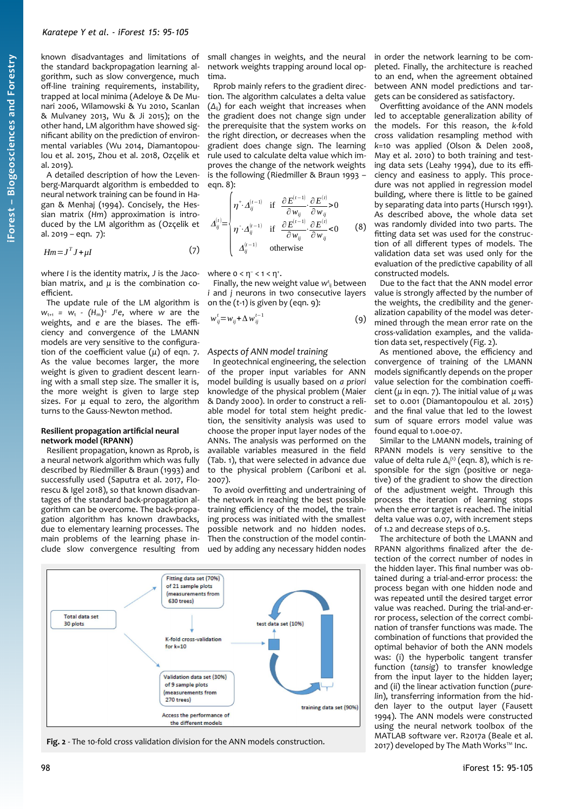known disadvantages and limitations of the standard backpropagation learning algorithm, such as slow convergence, much off-line training requirements, instability, trapped at local minima (Adeloye & De Munari 2006, Wilamowski & Yu 2010, Scanlan & Mulvaney 2013, Wu & Ji 2015); on the other hand, LM algorithm have showed significant ability on the prediction of environmental variables (Wu 2014, Diamantopoulou et al. 2015, Zhou et al. 2018, Ozçelik et al. 2019).

A detailed description of how the Levenberg-Marquardt algorithm is embedded to neural network training can be found in Hagan & Menhaj (1994). Concisely, the Hessian matrix (*Hm*) approximation is introduced by the LM algorithm as (Ozçelik et al. 2019 – eqn. 7):

$$
Hm = J^T J + \mu I \tag{7}
$$

where *I* is the identity matrix, *J* is the Jacobian matrix, and *μ* is the combination coefficient.

The update rule of the LM algorithm is  $w_{t+1}$  =  $w_t$  -  $(H_m)^1$  *J*<sup>T</sup>e, where *w* are the weights, and *e* are the biases. The efficiency and convergence of the LMANN models are very sensitive to the configuration of the coefficient value (*μ*) of eqn. 7. As the value becomes larger, the more weight is given to gradient descent learning with a small step size. The smaller it is, the more weight is given to large step sizes. For *μ* equal to zero, the algorithm turns to the Gauss-Newton method.

#### **Resilient propagation artificial neural network model (RPANN)**

Resilient propagation, known as Rprob, is a neural network algorithm which was fully described by Riedmiller & Braun (1993) and successfully used (Saputra et al. 2017, Florescu & Igel 2018), so that known disadvantages of the standard back-propagation algorithm can be overcome. The back-propagation algorithm has known drawbacks, due to elementary learning processes. The main problems of the learning phase include slow convergence resulting from

small changes in weights, and the neural network weights trapping around local optima.

Rprob mainly refers to the gradient direction. The algorithm calculates a delta value (*Δ*ij) for each weight that increases when the gradient does not change sign under the prerequisite that the system works on the right direction, or decreases when the gradient does change sign. The learning rule used to calculate delta value which improves the change of the network weights is the following (Riedmiller & Braun 1993 – eqn. 8):

$$
\Delta_{ij}^{(t)} = \begin{cases}\n\eta^{\text{+}} \Delta_{ij}^{(t-1)} & \text{if } \frac{\partial E^{(t-1)}}{\partial w_{ij}} \cdot \frac{\partial E^{(t)}}{\partial w_{ij}} > 0 \\
\eta^{\text{-}} \Delta_{ij}^{(t-1)} & \text{if } \frac{\partial E^{(t-1)}}{\partial w_{ij}} \cdot \frac{\partial E^{(t)}}{\partial w_{ij}} < 0 \\
\Delta_{ij}^{(t-1)} & \text{otherwise}\n\end{cases} \tag{8}
$$

where  $0 < \eta^{-} < 1 < \eta^{+}$ .

Finally, the new weight value w<sup>t</sup><sub>ij</sub> between *i* and *j* neurons in two consecutive layers on the (*t*-1) is given by (eqn. 9):

$$
w_{ij}^t = w_{ij} + \Delta w_{ij}^{t-1}
$$
 (9)

## *Aspects of ANN model training*

In geotechnical engineering, the selection of the proper input variables for ANN model building is usually based on *a priori* knowledge of the physical problem (Maier & Dandy 2000). In order to construct a reliable model for total stem height prediction, the sensitivity analysis was used to choose the proper input layer nodes of the ANNs. The analysis was performed on the available variables measured in the field ([Tab. 1](#page-1-0)), that were selected in advance due to the physical problem (Cariboni et al. 2007).

To avoid overfitting and undertraining of the network in reaching the best possible training efficiency of the model, the training process was initiated with the smallest possible network and no hidden nodes. Then the construction of the model continued by adding any necessary hidden nodes



<span id="page-3-0"></span>**Fig. 2** - The 10-fold cross validation division for the ANN models construction.

in order the network learning to be completed. Finally, the architecture is reached to an end, when the agreement obtained between ANN model predictions and targets can be considered as satisfactory.

Overfitting avoidance of the ANN models led to acceptable generalization ability of the models. For this reason, the *k*-fold cross validation resampling method with *k*=10 was applied (Olson & Delen 2008, May et al. 2010) to both training and testing data sets (Leahy 1994), due to its efficiency and easiness to apply. This procedure was not applied in regression model building, where there is little to be gained by separating data into parts (Hursch 1991). As described above, the whole data set was randomly divided into two parts. The fitting data set was used for the construction of all different types of models. The validation data set was used only for the evaluation of the predictive capability of all constructed models.

Due to the fact that the ANN model error value is strongly affected by the number of the weights, the credibility and the generalization capability of the model was determined through the mean error rate on the cross-validation examples, and the validation data set, respectively ([Fig. 2\)](#page-3-0).

As mentioned above, the efficiency and convergence of training of the LMANN models significantly depends on the proper value selection for the combination coefficient (*μ* in eqn. 7). The initial value of *μ* was set to 0.001 (Diamantopoulou et al. 2015) and the final value that led to the lowest sum of square errors model value was found equal to 1.00e-07.

Similar to the LMANN models, training of RPANN models is very sensitive to the value of delta rule  $\Delta_{ij}^{(t)}$  (eqn. 8), which is responsible for the sign (positive or negative) of the gradient to show the direction of the adjustment weight. Through this process the iteration of learning stops when the error target is reached. The initial delta value was 0.07, with increment steps of 1.2 and decrease steps of 0.5.

The architecture of both the LMANN and RPANN algorithms finalized after the detection of the correct number of nodes in the hidden layer. This final number was obtained during a trial-and-error process: the process began with one hidden node and was repeated until the desired target error value was reached. During the trial-and-error process, selection of the correct combination of transfer functions was made. The combination of functions that provided the optimal behavior of both the ANN models was: (i) the hyperbolic tangent transfer function (*tansig*) to transfer knowledge from the input layer to the hidden layer; and (ii) the linear activation function (*purelin*), transferring information from the hidden layer to the output layer (Fausett 1994). The ANN models were constructed using the neural network toolbox of the MATLAB software ver. R2017a (Beale et al. 2017) developed by The Math Works™ Inc.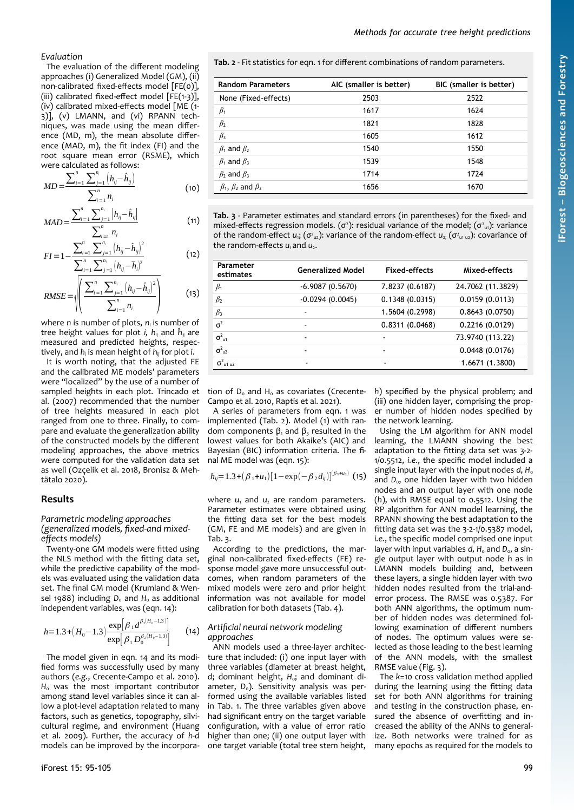#### *Methods for accurate tree height predictions*

*Evaluation*

The evaluation of the different modeling approaches (i) Generalized Model (GM), (ii) non-calibrated fixed-effects model [FE(0)], (iii) calibrated fixed-effect model [FE(1-3)], (iv) calibrated mixed-effects model [ME (1- 3)], (v) LMANN, and (vi) RPANN techniques, was made using the mean difference (MD, m), the mean absolute difference (MAD, m), the fit index (FI) and the root square mean error (RSME), which were calculated as follows:

$$
MD = \frac{\sum_{i=1}^{n} \sum_{j=1}^{n} (h_{ij} - \hat{h}_{ij})}{\sum_{i=1}^{n} n_i}
$$
 (10)

$$
MAD = \frac{\sum_{i=1}^{n} \sum_{j=1}^{n_i} \left| h_{ij} - \hat{h}_{ij} \right|}{\sum_{i=1}^{n} n_i}
$$
(11)

$$
FI = 1 - \frac{\sum_{i=1}^{n} \sum_{j=1}^{n_i} (h_{ij} - \hat{h}_{ij})^2}{\sum_{i=1}^{n} \sum_{j=1}^{n_i} (h_{ij} - \hat{h}_{ij})^2}
$$
(12)  
RMSE = 
$$
\sqrt{\left(\frac{\sum_{i=1}^{n} \sum_{j=1}^{n_i} (h_{ij} - \hat{h}_{ij})^2}{\sum_{i=1}^{n} n_i}\right)}
$$
(13)

where *n* is number of plots, *n*<sup>i</sup> is number of tree height values for plot *i, h*ij and *ĥ*ij are measured and predicted heights, respectively, and *ħ*<sup>i</sup> is mean height of *h*ij for plot *i*.

It is worth noting, that the adjusted FE and the calibrated ME models' parameters were "localized" by the use of a number of sampled heights in each plot. Trincado et al. (2007) recommended that the number of tree heights measured in each plot ranged from one to three. Finally, to compare and evaluate the generalization ability of the constructed models by the different modeling approaches, the above metrics were computed for the validation data set as well (Ozçelik et al. 2018, Bronisz & Mehtätalo 2020).

## **Results**

## *Parametric modeling approaches (generalized models, fixed-and mixedeffects models)*

Twenty-one GM models were fitted using the NLS method with the fitting data set, while the predictive capability of the models was evaluated using the validation data set. The final GM model (Krumland & Wensel 1988) including *D*<sub>0</sub> and *H*<sub>0</sub> as additional independent variables, was (eqn. 14):

$$
h=1.3+(H_0-1.3)\frac{\exp[\beta_1 d^{\beta_2(H_0-1.3)}]}{\exp[\beta_1 D_0^{\beta_2(H_0-1.3)}]} \qquad (14)
$$

The model given in eqn. 14 and its modified forms was successfully used by many authors (*e.g.*, Crecente-Campo et al. 2010). H<sub>0</sub> was the most important contributor among stand level variables since it can allow a plot-level adaptation related to many factors, such as genetics, topography, silvicultural regime, and environment (Huang et al. 2009). Further, the accuracy of *h-d* models can be improved by the incorpora<span id="page-4-1"></span>**Tab. 2** - Fit statistics for eqn. 1 for different combinations of random parameters.

| <b>Random Parameters</b>            | AIC (smaller is better) | BIC (smaller is better) |
|-------------------------------------|-------------------------|-------------------------|
| None (Fixed-effects)                | 2503                    | 2522                    |
| $\beta_1$                           | 1617                    | 1624                    |
| $\beta_2$                           | 1821                    | 1828                    |
| $\beta_3$                           | 1605                    | 1612                    |
| $\beta_1$ and $\beta_2$             | 1540                    | 1550                    |
| $\beta_1$ and $\beta_3$             | 1539                    | 1548                    |
| $\beta_2$ and $\beta_3$             | 1714                    | 1724                    |
| $\beta_1$ , $\beta_2$ and $\beta_3$ | 1656                    | 1670                    |

<span id="page-4-0"></span>**Tab. 3** - Parameter estimates and standard errors (in parentheses) for the fixed- and mixed-effects regression models. ( $\sigma^2$ ): residual variance of the model; ( $\sigma^2$ <sub>u1</sub>): variance of the random-effect *u*<sub>i</sub>; ( $\sigma^2_{u2}$ ): variance of the random-effect  $u_{2i}$  ( $\sigma^2_{u1u2}$ ): covariance of the random-effects  $u_1$  and  $u_2$ .

| Parameter<br>estimates      | <b>Generalized Model</b> | Fixed-effects            | Mixed-effects     |
|-----------------------------|--------------------------|--------------------------|-------------------|
| $\beta_1$                   | $-6.9087(0.5670)$        | 7.8237 (0.6187)          | 24.7062 (11.3829) |
| $\beta_2$                   | $-0.0294(0.0045)$        | 0.1348(0.0315)           | 0.0159(0.0113)    |
| $\beta_3$                   | $\blacksquare$           | 1.5604 (0.2998)          | 0.8643(0.0750)    |
| $\sigma^2$                  | $\blacksquare$           | 0.8311(0.0468)           | 0.2216 (0.0129)   |
| $\sigma^2_{\text{u1}}$      | ٠                        | ٠                        | 73.9740 (113.22)  |
| $\sigma^2_{u2}$             | $\blacksquare$           | ۰                        | 0.0448(0.0176)    |
| $\sigma^2$ <sub>u1 u2</sub> | $\overline{\phantom{0}}$ | $\overline{\phantom{0}}$ | 1.6671 (1.3800)   |

tion of  $D_0$  and  $H_0$  as covariates (Crecente-Campo et al. 2010, Raptis et al. 2021).

A series of parameters from eqn. 1 was implemented [\(Tab. 2](#page-4-1)). Model (1) with random components  $\beta_1$  and  $\beta_3$  resulted in the lowest values for both Akaike's (AIC) and Bayesian (BIC) information criteria. The final ME model was (eqn. 15):

$$
h_{ij}=1.3+(\beta_1+u_1)[1-\exp(-\beta_2 d_{ij})]^{(\beta_3+u_2)}
$$
(15)

where  $u_1$  and  $u_2$  are random parameters. Parameter estimates were obtained using the fitting data set for the best models (GM, FE and ME models) and are given in [Tab. 3.](#page-4-0)

According to the predictions, the marginal non-calibrated fixed-effects (FE) response model gave more unsuccessful outcomes, when random parameters of the mixed models were zero and prior height information was not available for model calibration for both datasets [\(Tab. 4](#page-5-1)).

#### *Artificial neural network modeling approaches*

ANN models used a three-layer architecture that included: (i) one input layer with three variables (diameter at breast height, *d*; dominant height, *H*0; and dominant diameter, D<sub>o</sub>). Sensitivity analysis was performed using the available variables listed in [Tab. 1](#page-1-0). The three variables given above had significant entry on the target variable configuration, with a value of error ratio higher than one; (ii) one output layer with one target variable (total tree stem height,

*h*) specified by the physical problem; and (iii) one hidden layer, comprising the proper number of hidden nodes specified by the network learning.

Using the LM algorithm for ANN model learning, the LMANN showing the best adaptation to the fitting data set was 3-2- 1/0.5512, *i.e.*, the specific model included a single input layer with the input nodes d, H<sub>0</sub> and D<sub>0</sub>, one hidden layer with two hidden nodes and an output layer with one node (*h*), with RMSE equal to 0.5512. Using the RP algorithm for ANN model learning, the RPANN showing the best adaptation to the fitting data set was the 3-2-1/0.5387 model, *i.e.*, the specific model comprised one input layer with input variables *d*, H<sub>o</sub> and D<sub>o</sub>, a single output layer with output node *h* as in LMANN models building and, between these layers, a single hidden layer with two hidden nodes resulted from the trial-anderror process. The RMSE was 0.5387. For both ANN algorithms, the optimum number of hidden nodes was determined following examination of different numbers of nodes. The optimum values were selected as those leading to the best learning of the ANN models, with the smallest RMSE value [\(Fig. 3\)](#page-5-0).

The *k*=10 cross validation method applied during the learning using the fitting data set for both ANN algorithms for training and testing in the construction phase, ensured the absence of overfitting and increased the ability of the ANNs to generalize. Both networks were trained for as many epochs as required for the models to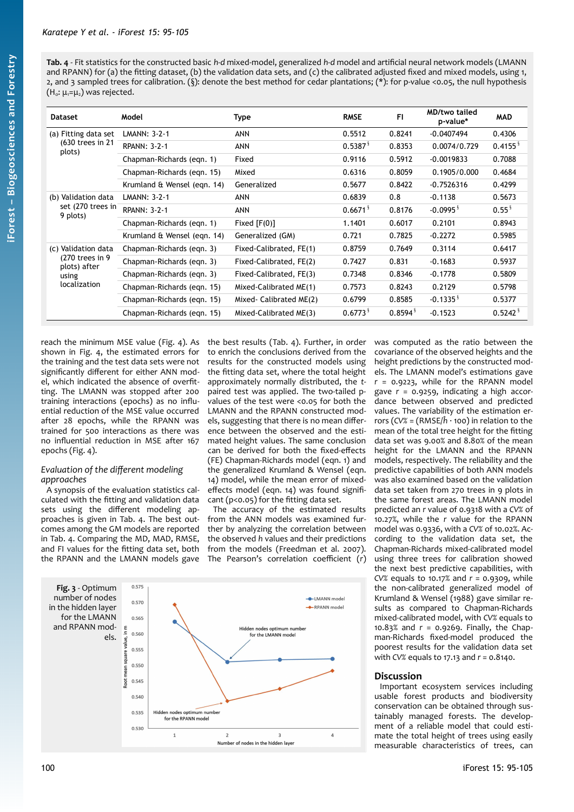<span id="page-5-1"></span>**Tab. 4** - Fit statistics for the constructed basic *h-d* mixed-model, generalized *h-d* model and artificial neural network models (LMANN and RPANN) for (a) the fitting dataset, (b) the validation data sets, and (c) the calibrated adjusted fixed and mixed models, using 1, 2, and 3 sampled trees for calibration. (§): denote the best method for cedar plantations; (\*): for p-value <0.05, the null hypothesis  $(H_0: \mu_1= \mu_2)$  was rejected.

| <b>Dataset</b>                                                                  | Model                       | Type                    | <b>RMSE</b>            | FI                    | <b>MD/two tailed</b><br>p-value* | <b>MAD</b>             |
|---------------------------------------------------------------------------------|-----------------------------|-------------------------|------------------------|-----------------------|----------------------------------|------------------------|
| (a) Fitting data set<br>(630 trees in 21<br>plots)                              | <b>LMANN: 3-2-1</b>         | ANN                     | 0.5512                 | 0.8241                | $-0.0407494$                     | 0.4306                 |
|                                                                                 | <b>RPANN: 3-2-1</b>         | <b>ANN</b>              | $0.5387^{\frac{5}{5}}$ | 0.8353                | 0.0074/0.729                     | $0.4155^{\frac{8}{3}}$ |
|                                                                                 | Chapman-Richards (eqn. 1)   | Fixed                   | 0.9116                 | 0.5912                | $-0.0019833$                     | 0.7088                 |
|                                                                                 | Chapman-Richards (eqn. 15)  | Mixed                   | 0.6316                 | 0.8059                | 0.1905/0.000                     | 0.4684                 |
|                                                                                 | Krumland & Wensel (eqn. 14) | Generalized             | 0.5677                 | 0.8422                | $-0.7526316$                     | 0.4299                 |
| (b) Validation data<br>set (270 trees in<br>9 plots)                            | LMANN: 3-2-1                | <b>ANN</b>              | 0.6839                 | 0.8                   | $-0.1138$                        | 0.5673                 |
|                                                                                 | <b>RPANN: 3-2-1</b>         | ANN                     | 0.6671 <sup>8</sup>    | 0.8176                | $-0.0995$ <sup>§</sup>           | $0.55^{\frac{5}{3}}$   |
|                                                                                 | Chapman-Richards (eqn. 1)   | Fixed $[F(0)]$          | 1.1401                 | 0.6017                | 0.2101                           | 0.8943                 |
|                                                                                 | Krumland & Wensel (egn. 14) | Generalized (GM)        | 0.721                  | 0.7825                | $-0.2272$                        | 0.5985                 |
| (c) Validation data<br>(270 trees in 9<br>plots) after<br>using<br>localization | Chapman-Richards (eqn. 3)   | Fixed-Calibrated, FE(1) | 0.8759                 | 0.7649                | 0.3114                           | 0.6417                 |
|                                                                                 | Chapman-Richards (egn. 3)   | Fixed-Calibrated, FE(2) | 0.7427                 | 0.831                 | $-0.1683$                        | 0.5937                 |
|                                                                                 | Chapman-Richards (eqn. 3)   | Fixed-Calibrated, FE(3) | 0.7348                 | 0.8346                | $-0.1778$                        | 0.5809                 |
|                                                                                 | Chapman-Richards (eqn. 15)  | Mixed-Calibrated ME(1)  | 0.7573                 | 0.8243                | 0.2129                           | 0.5798                 |
|                                                                                 | Chapman-Richards (eqn. 15)  | Mixed-Calibrated ME(2)  | 0.6799                 | 0.8585                | $-0.1335$ <sup>§</sup>           | 0.5377                 |
|                                                                                 | Chapman-Richards (egn. 15)  | Mixed-Calibrated ME(3)  | $0.6773$ <sup>§</sup>  | $0.8594$ <sup>§</sup> | $-0.1523$                        | $0.5242$ <sup>\$</sup> |

reach the minimum MSE value ([Fig. 4](#page-6-0)). As shown in [Fig. 4](#page-6-0), the estimated errors for the training and the test data sets were not significantly different for either ANN model, which indicated the absence of overfitting. The LMANN was stopped after 200 training interactions (epochs) as no influential reduction of the MSE value occurred after 28 epochs, while the RPANN was trained for 500 interactions as there was no influential reduction in MSE after 167 epochs [\(Fig. 4](#page-6-0)).

# *Evaluation of the different modeling approaches*

A synopsis of the evaluation statistics calculated with the fitting and validation data sets using the different modeling approaches is given in [Tab. 4](#page-5-1). The best outcomes among the GM models are reported in [Tab. 4](#page-5-1). Comparing the MD, MAD, RMSE, and FI values for the fitting data set, both the RPANN and the LMANN models gave the best results ([Tab. 4\)](#page-5-1). Further, in order to enrich the conclusions derived from the results for the constructed models using the fitting data set, where the total height approximately normally distributed, the *t*paired test was applied. The two-tailed pvalues of the test were <0.05 for both the LMANN and the RPANN constructed models, suggesting that there is no mean difference between the observed and the estimated height values. The same conclusion can be derived for both the fixed-effects (FE) Chapman-Richards model (eqn. 1) and the generalized Krumland & Wensel (eqn. 14) model, while the mean error of mixedeffects model (eqn. 14) was found significant (p<0.05) for the fitting data set.

The accuracy of the estimated results from the ANN models was examined further by analyzing the correlation between the observed *h* values and their predictions from the models (Freedman et al. 2007). The Pearson's correlation coefficient (*r*)

<span id="page-5-0"></span>

was computed as the ratio between the covariance of the observed heights and the height predictions by the constructed models. The LMANN model's estimations gave *r* = 0.9223, while for the RPANN model gave *r* = 0.9259, indicating a high accordance between observed and predicted values. The variability of the estimation errors (*CV%* = (RMSE/*ĥ* · 100) in relation to the mean of the total tree height for the fitting data set was 9.00% and 8.80% of the mean height for the LMANN and the RPANN models, respectively. The reliability and the predictive capabilities of both ANN models was also examined based on the validation data set taken from 270 trees in 9 plots in the same forest areas. The LMANN model predicted an *r* value of 0.9318 with a *CV%* of 10.27%, while the *r* value for the RPANN model was 0.9336, with a *CV%* of 10.02%. According to the validation data set, the Chapman-Richards mixed-calibrated model using three trees for calibration showed the next best predictive capabilities, with *CV%* equals to 10.17% and *r* = 0.9309, while the non-calibrated generalized model of Krumland & Wensel (1988) gave similar results as compared to Chapman-Richards mixed-calibrated model, with *CV%* equals to 10.83% and *r* = 0.9269. Finally, the Chapman-Richards fixed-model produced the poorest results for the validation data set with *CV%* equals to 17.13 and *r* = 0.8140.

# **Discussion**

Important ecosystem services including usable forest products and biodiversity conservation can be obtained through sustainably managed forests. The development of a reliable model that could estimate the total height of trees using easily measurable characteristics of trees, can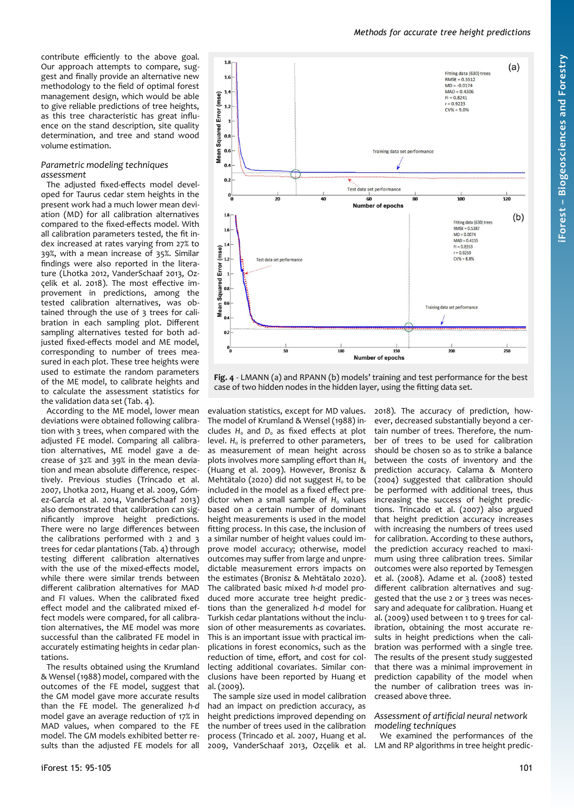contribute efficiently to the above goal. Our approach attempts to compare, suggest and finally provide an alternative new methodology to the field of optimal forest management design, which would be able to give reliable predictions of tree heights, as this tree characteristic has great influence on the stand description, site quality determination, and tree and stand wood volume estimation.

## *Parametric modeling techniques assessment*

The adjusted fixed-effects model developed for Taurus cedar stem heights in the present work had a much lower mean deviation (MD) for all calibration alternatives compared to the fixed-effects model. With all calibration parameters tested, the fit index increased at rates varying from 27% to 39%, with a mean increase of 35%. Similar findings were also reported in the literature (Lhotka 2012, VanderSchaaf 2013, Ozçelik et al. 2018). The most effective improvement in predictions, among the tested calibration alternatives, was obtained through the use of 3 trees for calibration in each sampling plot. Different sampling alternatives tested for both adjusted fixed-effects model and ME model, corresponding to number of trees measured in each plot. These tree heights were used to estimate the random parameters of the ME model, to calibrate heights and to calculate the assessment statistics for the validation data set [\(Tab. 4\)](#page-5-1).

According to the ME model, lower mean deviations were obtained following calibration with 3 trees, when compared with the adjusted FE model. Comparing all calibration alternatives, ME model gave a decrease of 32% and 39% in the mean deviation and mean absolute difference, respectively. Previous studies (Trincado et al. 2007, Lhotka 2012, Huang et al. 2009, Gómez-García et al. 2014, VanderSchaaf 2013) also demonstrated that calibration can significantly improve height predictions. There were no large differences between the calibrations performed with 2 and 3 trees for cedar plantations [\(Tab. 4](#page-5-1)) through testing different calibration alternatives with the use of the mixed-effects model, while there were similar trends between different calibration alternatives for MAD and FI values. When the calibrated fixed effect model and the calibrated mixed effect models were compared, for all calibration alternatives, the ME model was more successful than the calibrated FE model in accurately estimating heights in cedar plantations.

The results obtained using the Krumland & Wensel (1988) model, compared with the outcomes of the FE model, suggest that the GM model gave more accurate results than the FE model. The generalized *h-d* model gave an average reduction of 17% in MAD values, when compared to the FE model. The GM models exhibited better results than the adjusted FE models for all



*Methods for accurate tree height predictions*

<span id="page-6-0"></span>**Fig. 4** - LMANN (a) and RPANN (b) models' training and test performance for the best case of two hidden nodes in the hidden layer, using the fitting data set.

Number of epochs

 $150$ 

 $\frac{1}{100}$ 

evaluation statistics, except for MD values. The model of Krumland & Wensel (1988) includes H<sub>0</sub> and D<sub>0</sub> as fixed effects at plot level. *H*<sub>0</sub> is preferred to other parameters, as measurement of mean height across plots involves more sampling effort than *H*<sub>0</sub> (Huang et al. 2009). However, Bronisz & Mehtätalo (2020) did not suggest H<sub>0</sub> to be included in the model as a fixed effect predictor when a small sample of H<sub>0</sub> values based on a certain number of dominant height measurements is used in the model fitting process. In this case, the inclusion of a similar number of height values could improve model accuracy; otherwise, model outcomes may suffer from large and unpredictable measurement errors impacts on the estimates (Bronisz & Mehtätalo 2020). The calibrated basic mixed *h*-*d* model produced more accurate tree height predictions than the generalized *h*-*d* model for Turkish cedar plantations without the inclusion of other measurements as covariates. This is an important issue with practical implications in forest economics, such as the reduction of time, effort, and cost for collecting additional covariates. Similar conclusions have been reported by Huang et al. (2009).

The sample size used in model calibration had an impact on prediction accuracy, as height predictions improved depending on the number of trees used in the calibration process (Trincado et al. 2007, Huang et al. 2009, VanderSchaaf 2013, Ozçelik et al. 2018). The accuracy of prediction, however, decreased substantially beyond a certain number of trees. Therefore, the number of trees to be used for calibration should be chosen so as to strike a balance between the costs of inventory and the prediction accuracy. Calama & Montero (2004) suggested that calibration should be performed with additional trees, thus increasing the success of height predictions. Trincado et al. (2007) also argued that height prediction accuracy increases with increasing the numbers of trees used for calibration. According to these authors, the prediction accuracy reached to maximum using three calibration trees. Similar outcomes were also reported by Temesgen et al. (2008). Adame et al. (2008) tested different calibration alternatives and suggested that the use 2 or 3 trees was necessary and adequate for calibration. Huang et al. (2009) used between 1 to 9 trees for calibration, obtaining the most accurate results in height predictions when the calibration was performed with a single tree. The results of the present study suggested that there was a minimal improvement in prediction capability of the model when the number of calibration trees was increased above three.

 $\frac{1}{200}$ 

 $\frac{1}{250}$ 

## *Assessment of artificial neural network modeling techniques*

We examined the performances of the LM and RP algorithms in tree height predic-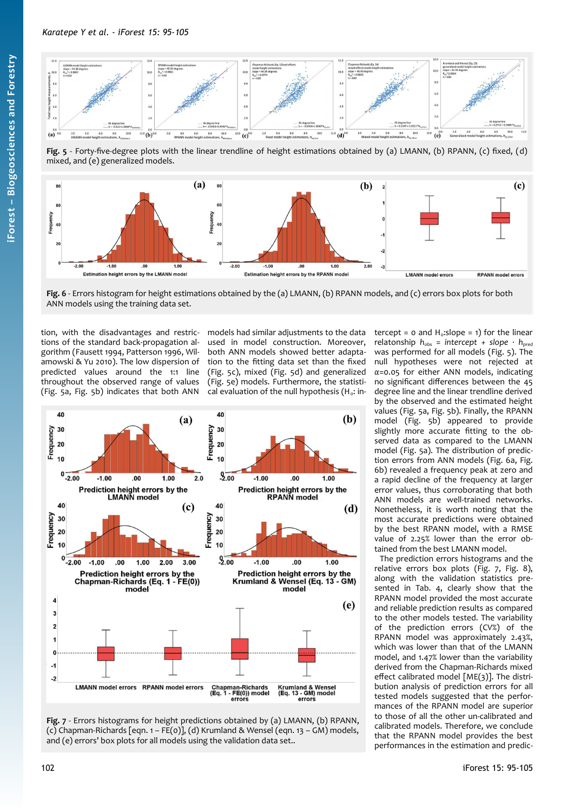

<span id="page-7-2"></span>**Fig. 5** - Forty-five-degree plots with the linear trendline of height estimations obtained by (a) LMANN, (b) RPANN, (c) fixed, (d) mixed, and (e) generalized models.



<span id="page-7-1"></span>**Fig. 6** - Errors histogram for height estimations obtained by the (a) LMANN, (b) RPANN models, and (c) errors box plots for both ANN models using the training data set.

tion, with the disadvantages and restrictions of the standard back-propagation algorithm (Fausett 1994, Patterson 1996, Wilamowski & Yu 2010). The low dispersion of predicted values around the 1:1 line throughout the observed range of values ([Fig. 5](#page-7-2)a, [Fig. 5](#page-7-2)b) indicates that both ANN

models had similar adjustments to the data used in model construction. Moreover, both ANN models showed better adaptation to the fitting data set than the fixed ([Fig. 5](#page-7-2)c), mixed [\(Fig. 5d](#page-7-2)) and generalized ([Fig. 5](#page-7-2)e) models. Furthermore, the statistical evaluation of the null hypothesis ( $H_o$ : in-



<span id="page-7-0"></span>**Fig. 7** - Errors histograms for height predictions obtained by (a) LMANN, (b) RPANN, (c) Chapman-Richards [eqn. 1 – FE(0)], (d) Krumland & Wensel (eqn. 13 – GM) models, and (e) errors' box plots for all models using the validation data set..

tercept =  $\circ$  and H<sub>o</sub>:slope =  $\circ$ ) for the linear relatonship  $h_{obs}$  = intercept + slope  $\cdot$   $h_{pred}$ was performed for all models ([Fig. 5](#page-7-2)). The null hypotheses were not rejected at *α*=0.05 for either ANN models, indicating no significant differences between the 45 degree line and the linear trendline derived by the observed and the estimated height values [\(Fig. 5](#page-7-2)a, [Fig. 5](#page-7-2)b). Finally, the RPANN model [\(Fig. 5b](#page-7-2)) appeared to provide slightly more accurate fitting to the observed data as compared to the LMANN model [\(Fig. 5](#page-7-2)a). The distribution of prediction errors from ANN models [\(Fig. 6a](#page-7-1), [Fig.](#page-7-1) [6](#page-7-1)b) revealed a frequency peak at zero and a rapid decline of the frequency at larger error values, thus corroborating that both ANN models are well-trained networks. Nonetheless, it is worth noting that the most accurate predictions were obtained by the best RPANN model, with a RMSE value of 2.25% lower than the error obtained from the best LMANN model.

The prediction errors histograms and the relative errors box plots [\(Fig. 7](#page-7-0), [Fig. 8](#page-8-0)), along with the validation statistics presented in [Tab. 4](#page-5-1), clearly show that the RPANN model provided the most accurate and reliable prediction results as compared to the other models tested. The variability of the prediction errors (CV%) of the RPANN model was approximately 2.43%, which was lower than that of the LMANN model, and 1.47% lower than the variability derived from the Chapman-Richards mixed effect calibrated model [ME(3)]. The distribution analysis of prediction errors for all tested models suggested that the performances of the RPANN model are superior to those of all the other un-calibrated and calibrated models. Therefore, we conclude that the RPANN model provides the best performances in the estimation and predic-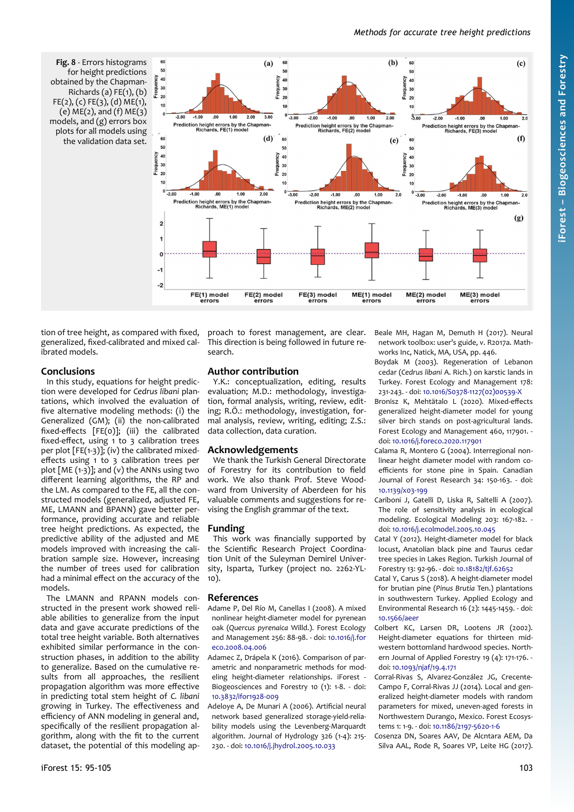<span id="page-8-0"></span>**Fig. 8** - Errors histograms for height predictions obtained by the Chapman-Richards (a)  $FE(1)$ , (b) FE(2), (c) FE(3), (d) ME(1),  $(e)$  ME $(2)$ , and  $(f)$  ME $(3)$ models, and (g) errors box plots for all models using the validation data set.



tion of tree height, as compared with fixed, generalized, fixed-calibrated and mixed calibrated models.

## **Conclusions**

In this study, equations for height prediction were developed for *Cedrus libani* plantations, which involved the evaluation of five alternative modeling methods: (i) the Generalized (GM); (ii) the non-calibrated fixed-effects [FE(0)]; (iii) the calibrated fixed-effect, using 1 to 3 calibration trees per plot  $[FE(1-3)]$ ; (iv) the calibrated mixedeffects using 1 to 3 calibration trees per plot  $[ME (1-3)]$ ; and (v) the ANNs using two different learning algorithms, the RP and the LM. As compared to the FE, all the constructed models (generalized, adjusted FE, ME, LMANN and BPANN) gave better performance, providing accurate and reliable tree height predictions. As expected, the predictive ability of the adjusted and ME models improved with increasing the calibration sample size. However, increasing the number of trees used for calibration had a minimal effect on the accuracy of the models.

The LMANN and RPANN models constructed in the present work showed reliable abilities to generalize from the input data and gave accurate predictions of the total tree height variable. Both alternatives exhibited similar performance in the construction phases, in addition to the ability to generalize. Based on the cumulative results from all approaches, the resilient propagation algorithm was more effective in predicting total stem height of *C. libani* growing in Turkey. The effectiveness and efficiency of ANN modeling in general and, specifically of the resilient propagation algorithm, along with the fit to the current dataset, the potential of this modeling approach to forest management, are clear. This direction is being followed in future research.

## **Author contribution**

Y.K.: conceptualization, editing, results evaluation; M.D.: methodology, investigation, formal analysis, writing, review, editing; R.Ö.: methodology, investigation, formal analysis, review, writing, editing; Z.S.: data collection, data curation.

## **Acknowledgements**

We thank the Turkish General Directorate of Forestry for its contribution to field work. We also thank Prof. Steve Woodward from University of Aberdeen for his valuable comments and suggestions for revising the English grammar of the text.

## **Funding**

This work was financially supported by the Scientific Research Project Coordination Unit of the Suleyman Demirel University, Isparta, Turkey (project no. 2262-YL-10).

## **References**

- Adame P, Del Río M, Canellas I (2008). A mixed nonlinear height-diameter model for pyrenean oak (*Quercus pyrenaica* Willd.). Forest Ecology and Management 256: 88-98. - doi: [10.1016/j.for](https://doi.org/10.1016/j.foreco.2008.04.006) [eco.2008.04.006](https://doi.org/10.1016/j.foreco.2008.04.006)
- Adamec Z, Drápela K (2016). Comparison of parametric and nonparametric methods for modeling height-diameter relationships. iForest - Biogeosciences and Forestry 10 (1): 1-8. - doi: [10.3832/ifor1928-009](https://doi.org/10.3832/ifor1928-009)
- Adeloye A, De Munari A (2006). Artificial neural network based generalized storage-yield-reliability models using the Levenberg-Marquardt algorithm. Journal of Hydrology 326 (1-4): 215- 230. - doi: [10.1016/j.jhydrol.2005.10.033](https://doi.org/10.1016/j.jhydrol.2005.10.033)

Beale MH, Hagan M, Demuth H (2017). Neural network toolbox: user's guide, v. R2017a. Mathworks Inc, Natick, MA, USA, pp. 446.

- Boydak M (2003). Regeneration of Lebanon cedar (*Cedrus libani* A. Rich.) on karstic lands in Turkey. Forest Ecology and Management 178: 231-243. - doi: [10.1016/S0378-1127\(02\)00539-X](https://doi.org/10.1016/S0378-1127(02)00539-X)
- Bronisz K, Mehtätalo L (2020). Mixed-effects generalized height-diameter model for young silver birch stands on post-agricultural lands. Forest Ecology and Management 460, 117901. doi: [10.1016/j.foreco.2020.117901](https://doi.org/10.1016/j.foreco.2020.117901)
- Calama R, Montero G (2004). Interregional nonlinear height diameter model with random coefficients for stone pine in Spain. Canadian Journal of Forest Research 34: 150-163. - doi: [10.1139/x03-199](https://doi.org/10.1139/x03-199)
- Cariboni J, Gatelli D, Liska R, Saltelli A (2007). The role of sensitivity analysis in ecological modeling. Ecological Modeling 203: 167-182. doi: [10.1016/j.ecolmodel.2005.10.045](https://doi.org/10.1016/j.ecolmodel.2005.10.045)
- Catal Y (2012). Height-diameter model for black locust, Anatolian black pine and Taurus cedar tree species in Lakes Region. Turkish Journal of Forestry 13: 92-96. - doi: [10.18182/tjf.62652](https://doi.org/10.18182/tjf.62652)
- Catal Y, Carus S (2018). A height-diameter model for brutian pine (*Pinus Brutia* Ten.) plantations in southwestern Turkey. Applied Ecology and Environmental Research 16 (2): 1445-1459. - doi: [10.1566/aeer](https://doi.org/10.1566/aeer)
- Colbert KC, Larsen DR, Lootens JR (2002). Height-diameter equations for thirteen midwestern bottomland hardwood species. Northern Journal of Applied Forestry 19 (4): 171-176. doi: [10.1093/njaf/19.4.171](https://doi.org/10.1093/njaf/19.4.171)
- Corral-Rivas S, Alvarez-González JG, Crecente-Campo F, Corral-Rivas JJ (2014). Local and generalized height-diameter models with random parameters for mixed, uneven-aged forests in Northwestern Durango, Mexico. Forest Ecosystems 1: 1-9. - doi: [10.1186/2197-5620-1-6](https://doi.org/10.1186/2197-5620-1-6)
- Cosenza DN, Soares AAV, De Alcntara AEM, Da Silva AAL, Rode R, Soares VP, Leite HG (2017).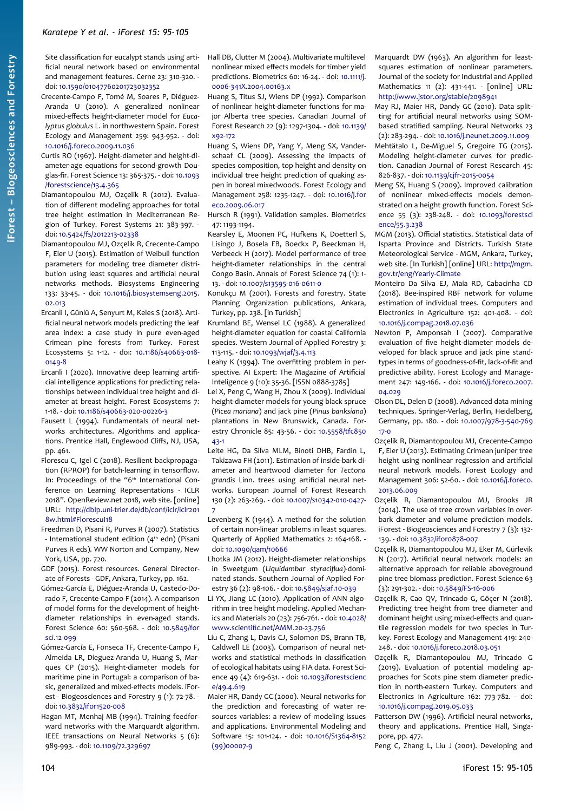Site classification for eucalypt stands using artificial neural network based on environmental and management features. Cerne 23: 310-320. doi: [10.1590/01047760201723032352](https://doi.org/10.1590/01047760201723032352)

- Crecente-Campo F, Tomé M, Soares P, Diéguez-Aranda U (2010). A generalized nonlinear mixed-effects height-diameter model for *Eucalyptus globulus* L. in northwestern Spain. Forest Ecology and Management 259: 943-952. - doi: [10.1016/j.foreco.2009.11.036](https://doi.org/10.1016/j.foreco.2009.11.036)
- Curtis RO (1967). Height-diameter and height-diameter-age equations for second-growth Douglas-fir. Forest Science 13: 365-375. - doi: [10.1093](https://doi.org/10.1093/forestscience/13.4.365) [/forestscience/13.4.365](https://doi.org/10.1093/forestscience/13.4.365)
- Diamantopoulou MJ, Ozçelik R (2012). Evaluation of different modeling approaches for total tree height estimation in Mediterranean Region of Turkey. Forest Systems 21: 383-397. doi: [10.5424/fs/2012213-02338](https://doi.org/10.5424/fs/2012213-02338)
- Diamantopoulou MJ, Ozçelik R, Crecente-Campo F, Eler U (2015). Estimation of Weibull function parameters for modeling tree diameter distribution using least squares and artificial neural networks methods. Biosystems Engineering 133: 33-45. - doi: [10.1016/j.biosystemseng.2015.](https://doi.org/10.1016/j.biosystemseng.2015.02.013) [02.013](https://doi.org/10.1016/j.biosystemseng.2015.02.013)
- Ercanli I, Günlü A, Senyurt M, Keles S (2018). Artificial neural network models predicting the leaf area index: a case study in pure even-aged Crimean pine forests from Turkey. Forest Ecosystems 5: 1-12. - doi: [10.1186/s40663-018-](https://doi.org/10.1186/s40663-018-0149-8) [0149-8](https://doi.org/10.1186/s40663-018-0149-8)
- Ercanli I (2020). Innovative deep learning artificial intelligence applications for predicting relationships between individual tree height and diameter at breast height. Forest Ecosystems 7: 1-18. - doi: [10.1186/s40663-020-00226-3](https://doi.org/10.1186/s40663-020-00226-3)
- Fausett L (1994). Fundamentals of neural networks architectures. Algorithms and applications. Prentice Hall, Englewood Cliffs, NJ, USA, pp. 461.
- Florescu C, Igel C (2018). Resilient backpropagation (RPROP) for batch-learning in tensorflow. In: Proceedings of the "6<sup>th</sup> International Conference on Learning Representations - ICLR 2018". OpenReview.net 2018, web site. [online] URL: [http://dblp.uni-trier.de/db/conf/iclr/iclr201](http://dblp.uni-trier.de/db/conf/iclr/iclr2018w.html#FlorescuI18) [8w.html#FlorescuI18](http://dblp.uni-trier.de/db/conf/iclr/iclr2018w.html#FlorescuI18)
- Freedman D, Pisani R, Purves R (2007). Statistics - International student edition (4<sup>th</sup> edn) (Pisani Purves R eds). WW Norton and Company, New York, USA, pp. 720.
- GDF (2015). Forest resources. General Directorate of Forests - GDF, Ankara, Turkey, pp. 162.
- Gómez-García E, Diéguez-Aranda U, Castedo-Dorado F, Crecente-Campo F (2014). A comparison of model forms for the development of heightdiameter relationships in even-aged stands. Forest Science 60: 560-568. - doi: [10.5849/for](https://doi.org/10.5849/forsci.12-099) [sci.12-099](https://doi.org/10.5849/forsci.12-099)
- Gómez-García E, Fonseca TF, Crecente-Campo F, Almeida LR, Dieguez-Aranda U, Huang S, Marques CP (2015). Height-diameter models for maritime pine in Portugal: a comparison of basic, generalized and mixed-effects models. iForest - Biogeosciences and Forestry 9 (1): 72-78. doi: [10.3832/ifor1520-008](https://doi.org/10.3832/ifor1520-008)
- Hagan MT, Menhaj MB (1994). Training feedforward networks with the Marquardt algorithm. IEEE transactions on Neural Networks 5 (6): 989-993. - doi: [10.1109/72.329697](https://doi.org/10.1109/72.329697)

Hall DB, Clutter M (2004). Multivariate multilevel nonlinear mixed effects models for timber yield predictions. Biometrics 60: 16-24. - doi: [10.1111/j.](https://doi.org/10.1111/j.0006-341X.2004.00163.x) [0006-341X.2004.00163.x](https://doi.org/10.1111/j.0006-341X.2004.00163.x)

Huang S, Titus SJ, Wiens DP (1992). Comparison of nonlinear height-diameter functions for major Alberta tree species. Canadian Journal of Forest Research 22 (9): 1297-1304. - doi: [10.1139/](https://doi.org/10.1139/x92-172) [x92-172](https://doi.org/10.1139/x92-172)

Huang S, Wiens DP, Yang Y, Meng SX, Vanderschaaf CL (2009). Assessing the impacts of species composition, top height and density on individual tree height prediction of quaking aspen in boreal mixedwoods. Forest Ecology and Management 258: 1235-1247. - doi: [10.1016/j.for](https://doi.org/10.1016/j.foreco.2009.06.017) [eco.2009.06.017](https://doi.org/10.1016/j.foreco.2009.06.017)

Hursch R (1991). Validation samples. Biometrics 47: 1193-1194.

- Kearsley E, Moonen PC, Hufkens K, Doetterl S, Lisingo J, Bosela FB, Boeckx P, Beeckman H, Verbeeck H (2017). Model performance of tree height-diameter relationships in the central Congo Basin. Annals of Forest Science 74 (1): 1- 13. - doi: [10.1007/s13595-016-0611-0](https://doi.org/10.1007/s13595-016-0611-0)
- Konukçu M (2001). Forests and forestry. State Planning Organization publications, Ankara, Turkey, pp. 238. [in Turkish]
- Krumland BE, Wensel LC (1988). A generalized height-diameter equation for coastal California species. Western Journal of Applied Forestry 3: 113-115. - doi: [10.1093/wjaf/3.4.113](https://doi.org/10.1093/wjaf/3.4.113)

Leahy K (1994). The overfitting problem in perspective. AI Expert: The Magazine of Artificial Inteligence 9 (10): 35-36. [ISSN 0888-3785]

- Lei X, Peng C, Wang H, Zhou X (2009). Individual height-diameter models for young black spruce (*Picea mariana*) and jack pine (*Pinus banksiana*) plantations in New Brunswick, Canada. Forestry Chronicle 85: 43-56. - doi: [10.5558/tfc850](https://doi.org/10.5558/tfc85043-1)  $43 - 1$
- Leite HG, Da Silva MLM, Binoti DHB, Fardin L, Takizawa FH (2011). Estimation of inside-bark diameter and heartwood diameter for *Tectona grandis* Linn. trees using artificial neural networks. European Journal of Forest Research 130 (2): 263-269. - doi: [10.1007/s10342-010-0427-](https://doi.org/10.1007/s10342-010-0427-7) [7](https://doi.org/10.1007/s10342-010-0427-7)
- Levenberg K (1944). A method for the solution of certain non-linear problems in least squares. Quarterly of Applied Mathematics 2: 164-168. doi: [10.1090/qam/10666](https://doi.org/10.1090/qam/10666)
- Lhotka JM (2012). Height-diameter relationships in Sweetgum (*Liquidambar styraciflua*)-dominated stands. Southern Journal of Applied Forestry 36 (2): 98-106. - doi: [10.5849/sjaf.10-039](https://doi.org/10.5849/sjaf.10-039)
- Li YX, Jiang LC (2010). Application of ANN algorithm in tree height modeling. Applied Mechanics and Materials 20 (23): 756-761. - doi: [10.4028/](https://doi.org/10.4028/www.scientific.net/AMM.20-23.756) [www.scientific.net/AMM.20-23.756](https://doi.org/10.4028/www.scientific.net/AMM.20-23.756)

Liu C, Zhang L, Davis CJ, Solomon DS, Brann TB, Caldwell LE (2003). Comparison of neural networks and statistical methods in classification of ecological habitats using FIA data. Forest Science 49 (4): 619-631. - doi: [10.1093/forestscienc](https://doi.org/10.1093/forestscience/49.4.619) [e/49.4.619](https://doi.org/10.1093/forestscience/49.4.619)

Maier HR, Dandy GC (2000). Neural networks for the prediction and forecasting of water resources variables: a review of modeling issues and applications. Environmental Modeling and Software 15: 101-124. - doi: [10.1016/S1364-8152](https://doi.org/10.1016/S1364-8152(99)00007-9) [\(99\)00007-9](https://doi.org/10.1016/S1364-8152(99)00007-9)

- Marquardt DW (1963). An algorithm for leastsquares estimation of nonlinear parameters. Journal of the society for Industrial and Applied Mathematics 11 (2): 431-441. - [online] URL: <http://www.jstor.org/stable/2098941>
- May RJ, Maier HR, Dandy GC (2010). Data splitting for artificial neural networks using SOMbased stratified sampling. Neural Networks 23 (2): 283-294. - doi: [10.1016/j.neunet.2009.11.009](https://doi.org/10.1016/j.neunet.2009.11.009)
- Mehtätalo L, De-Miguel S, Gregoire TG (2015). Modeling height-diameter curves for prediction. Canadian Journal of Forest Research 45: 826-837. - doi: [10.1139/cjfr-2015-0054](https://doi.org/10.1139/cjfr-2015-0054)
- Meng SX, Huang S (2009). Improved calibration of nonlinear mixed-effects models demonstrated on a height growth function. Forest Science 55 (3): 238-248. - doi: [10.1093/forestsci](https://doi.org/10.1093/forestscience/55.3.238) [ence/55.3.238](https://doi.org/10.1093/forestscience/55.3.238)
- MGM (2013). Official statistics. Statistical data of Isparta Province and Districts. Turkish State Meteorological Service - MGM, Ankara, Turkey, web site. [In Turkish] [online] URL: [http://mgm.](https://mgm.gov.tr/eng/Yearly-Climate) [gov.tr/eng/Yearly-Climate](https://mgm.gov.tr/eng/Yearly-Climate)
- Monteiro Da Silva EJ, Maia RD, Cabacinha CD (2018). Bee-inspired RBF network for volume estimation of individual trees. Computers and Electronics in Agriculture 152: 401-408. - doi: [10.1016/j.compag.2018.07.036](https://doi.org/10.1016/j.compag.2018.07.036)
- Newton P, Amponsah I (2007). Comparative evaluation of five height-diameter models developed for black spruce and jack pine standtypes in terms of goodness-of-fit, lack-of-fit and predictive ability. Forest Ecology and Management 247: 149-166. - doi: [10.1016/j.foreco.2007.](https://doi.org/10.1016/j.foreco.2007.04.029) [04.029](https://doi.org/10.1016/j.foreco.2007.04.029)
- Olson DL, Delen D (2008). Advanced data mining techniques. Springer-Verlag, Berlin, Heidelberg, Germany, pp. 180. - doi: [10.1007/978-3-540-769](https://doi.org/10.1007/978-3-540-76917-0) [17-0](https://doi.org/10.1007/978-3-540-76917-0)
- Ozçelik R, Diamantopoulou MJ, Crecente-Campo F, Eler U (2013). Estimating Crimean juniper tree height using nonlinear regression and artificial neural network models. Forest Ecology and Management 306: 52-60. - doi: [10.1016/j.foreco.](https://doi.org/10.1016/j.foreco.2013.06.009) [2013.06.009](https://doi.org/10.1016/j.foreco.2013.06.009)
- Ozçelik R, Diamantopoulou MJ, Brooks JR (2014). The use of tree crown variables in overbark diameter and volume prediction models. iForest - Biogeosciences and Forestry 7 (3): 132- 139. - doi: [10.3832/ifor0878-007](https://doi.org/10.3832/ifor0878-007)
- Ozçelik R, Diamantopoulou MJ, Eker M, Gürlevik N (2017). Artificial neural network models: an alternative approach for reliable aboveground pine tree biomass prediction. Forest Science 63 (3): 291-302. - doi: [10.5849/FS-16-006](https://doi.org/10.5849/FS-16-006)
- Ozçelik R, Cao QV, Trincado G, Göçer N (2018). Predicting tree height from tree diameter and dominant height using mixed-effects and quantile regression models for two species in Turkey. Forest Ecology and Management 419: 240- 248. - doi: [10.1016/j.foreco.2018.03.051](https://doi.org/10.1016/j.foreco.2018.03.051)
- Ozçelik R, Diamantopoulou MJ, Trincado G (2019). Evaluation of potential modeling approaches for Scots pine stem diameter prediction in north-eastern Turkey. Computers and Electronics in Agriculture 162: 773-782. - doi: [10.1016/j.compag.2019.05.033](https://doi.org/10.1016/j.compag.2019.05.033)
- Patterson DW (1996). Artificial neural networks, theory and applications. Prentice Hall, Singapore, pp. 477.
- Peng C, Zhang L, Liu J (2001). Developing and